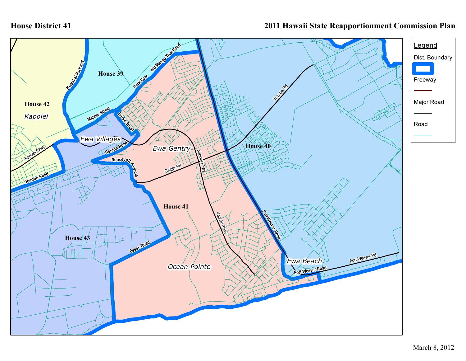## **House District 41**

## **2011 Hawaii State Reapportionment Commission Plan**